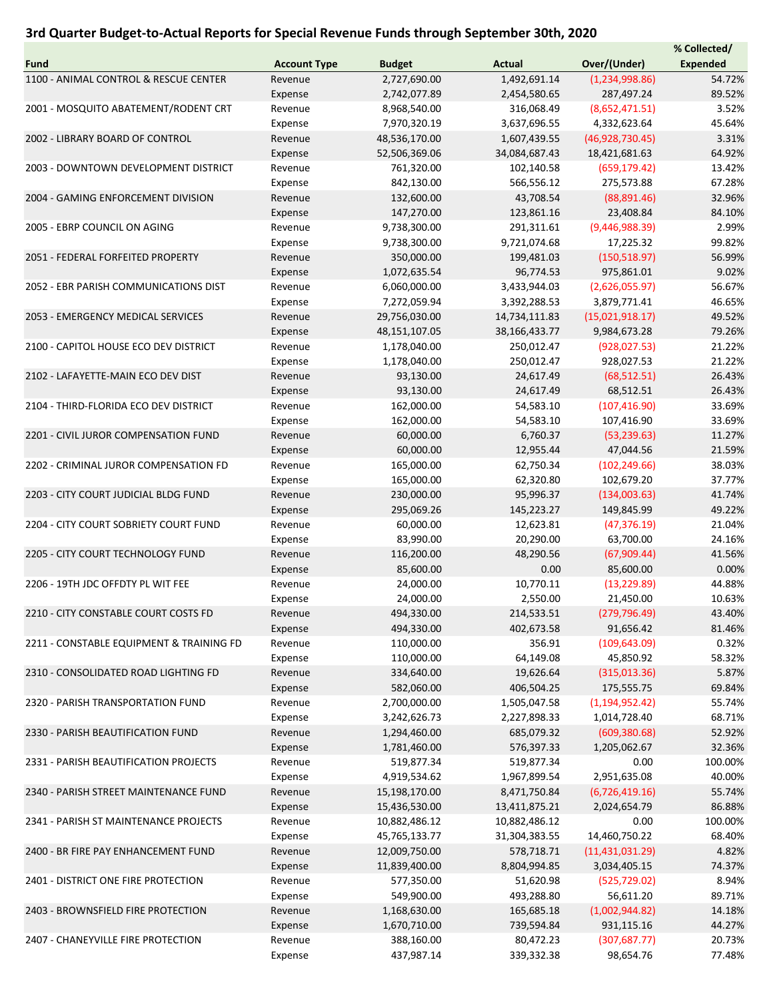## 3rd Quarter Budget-to-Actual Reports for Special Revenue Funds through September 30th, 2020

|                                          |                     |                 |               |                   | % Collected/    |
|------------------------------------------|---------------------|-----------------|---------------|-------------------|-----------------|
| Fund                                     | <b>Account Type</b> | <b>Budget</b>   | <b>Actual</b> | Over/(Under)      | <b>Expended</b> |
| 1100 - ANIMAL CONTROL & RESCUE CENTER    | Revenue             | 2,727,690.00    | 1,492,691.14  | (1,234,998.86)    | 54.72%          |
|                                          | Expense             | 2,742,077.89    | 2,454,580.65  | 287,497.24        | 89.52%          |
| 2001 - MOSQUITO ABATEMENT/RODENT CRT     | Revenue             | 8,968,540.00    | 316,068.49    | (8,652,471.51)    | 3.52%           |
|                                          | Expense             | 7,970,320.19    | 3,637,696.55  | 4,332,623.64      | 45.64%          |
| 2002 - LIBRARY BOARD OF CONTROL          | Revenue             | 48,536,170.00   | 1,607,439.55  | (46,928,730.45)   | 3.31%           |
|                                          | Expense             | 52,506,369.06   | 34,084,687.43 | 18,421,681.63     | 64.92%          |
| 2003 - DOWNTOWN DEVELOPMENT DISTRICT     | Revenue             | 761,320.00      | 102,140.58    | (659, 179.42)     | 13.42%          |
|                                          | Expense             | 842,130.00      | 566,556.12    | 275,573.88        | 67.28%          |
| 2004 - GAMING ENFORCEMENT DIVISION       | Revenue             | 132,600.00      | 43,708.54     | (88,891.46)       | 32.96%          |
|                                          | Expense             | 147,270.00      | 123,861.16    | 23,408.84         | 84.10%          |
| 2005 - EBRP COUNCIL ON AGING             | Revenue             | 9,738,300.00    | 291,311.61    | (9,446,988.39)    | 2.99%           |
|                                          | Expense             | 9,738,300.00    | 9,721,074.68  | 17,225.32         | 99.82%          |
| 2051 - FEDERAL FORFEITED PROPERTY        | Revenue             | 350,000.00      | 199,481.03    | (150, 518.97)     | 56.99%          |
|                                          | Expense             | 1,072,635.54    | 96,774.53     | 975,861.01        | 9.02%           |
| 2052 - EBR PARISH COMMUNICATIONS DIST    | Revenue             | 6,060,000.00    | 3,433,944.03  | (2,626,055.97)    | 56.67%          |
|                                          | Expense             | 7,272,059.94    | 3,392,288.53  | 3,879,771.41      | 46.65%          |
| 2053 - EMERGENCY MEDICAL SERVICES        | Revenue             | 29,756,030.00   | 14,734,111.83 | (15,021,918.17)   | 49.52%          |
|                                          | Expense             | 48, 151, 107.05 | 38,166,433.77 | 9,984,673.28      | 79.26%          |
| 2100 - CAPITOL HOUSE ECO DEV DISTRICT    | Revenue             | 1,178,040.00    | 250,012.47    | (928, 027.53)     | 21.22%          |
|                                          | Expense             | 1,178,040.00    | 250,012.47    | 928,027.53        | 21.22%          |
| 2102 - LAFAYETTE-MAIN ECO DEV DIST       | Revenue             | 93,130.00       | 24,617.49     | (68, 512.51)      | 26.43%          |
|                                          | Expense             | 93,130.00       | 24,617.49     | 68,512.51         | 26.43%          |
| 2104 - THIRD-FLORIDA ECO DEV DISTRICT    | Revenue             | 162,000.00      | 54,583.10     | (107, 416.90)     | 33.69%          |
|                                          | Expense             | 162,000.00      | 54,583.10     | 107,416.90        | 33.69%          |
| 2201 - CIVIL JUROR COMPENSATION FUND     | Revenue             | 60,000.00       | 6,760.37      | (53, 239.63)      | 11.27%          |
|                                          |                     | 60,000.00       | 12,955.44     | 47,044.56         | 21.59%          |
|                                          | Expense             |                 |               |                   |                 |
| 2202 - CRIMINAL JUROR COMPENSATION FD    | Revenue             | 165,000.00      | 62,750.34     | (102, 249.66)     | 38.03%          |
|                                          | Expense             | 165,000.00      | 62,320.80     | 102,679.20        | 37.77%          |
| 2203 - CITY COURT JUDICIAL BLDG FUND     | Revenue             | 230,000.00      | 95,996.37     | (134,003.63)      | 41.74%          |
|                                          | Expense             | 295,069.26      | 145,223.27    | 149,845.99        | 49.22%          |
| 2204 - CITY COURT SOBRIETY COURT FUND    | Revenue             | 60,000.00       | 12,623.81     | (47, 376.19)      | 21.04%          |
|                                          | Expense             | 83,990.00       | 20,290.00     | 63,700.00         | 24.16%          |
| 2205 - CITY COURT TECHNOLOGY FUND        | Revenue             | 116,200.00      | 48,290.56     | (67,909.44)       | 41.56%          |
|                                          | Expense             | 85,600.00       | 0.00          | 85,600.00         | 0.00%           |
| 2206 - 19TH JDC OFFDTY PL WIT FEE        | Revenue             | 24,000.00       | 10,770.11     | (13, 229.89)      | 44.88%          |
|                                          | Expense             | 24,000.00       | 2,550.00      | 21,450.00         | 10.63%          |
| 2210 - CITY CONSTABLE COURT COSTS FD     | Revenue             | 494,330.00      | 214,533.51    | (279, 796.49)     | 43.40%          |
|                                          | Expense             | 494,330.00      | 402,673.58    | 91,656.42         | 81.46%          |
| 2211 - CONSTABLE EQUIPMENT & TRAINING FD | Revenue             | 110,000.00      | 356.91        | (109, 643.09)     | 0.32%           |
|                                          | Expense             | 110,000.00      | 64,149.08     | 45,850.92         | 58.32%          |
| 2310 - CONSOLIDATED ROAD LIGHTING FD     | Revenue             | 334,640.00      | 19,626.64     | (315,013.36)      | 5.87%           |
|                                          | Expense             | 582,060.00      | 406,504.25    | 175,555.75        | 69.84%          |
| 2320 - PARISH TRANSPORTATION FUND        | Revenue             | 2,700,000.00    | 1,505,047.58  | (1, 194, 952.42)  | 55.74%          |
|                                          | Expense             | 3,242,626.73    | 2,227,898.33  | 1,014,728.40      | 68.71%          |
| 2330 - PARISH BEAUTIFICATION FUND        | Revenue             | 1,294,460.00    | 685,079.32    | (609, 380.68)     | 52.92%          |
|                                          | Expense             | 1,781,460.00    | 576,397.33    | 1,205,062.67      | 32.36%          |
| 2331 - PARISH BEAUTIFICATION PROJECTS    | Revenue             | 519,877.34      | 519,877.34    | 0.00              | 100.00%         |
|                                          | Expense             | 4,919,534.62    | 1,967,899.54  | 2,951,635.08      | 40.00%          |
| 2340 - PARISH STREET MAINTENANCE FUND    | Revenue             | 15,198,170.00   | 8,471,750.84  | (6,726,419.16)    | 55.74%          |
|                                          | Expense             | 15,436,530.00   | 13,411,875.21 | 2,024,654.79      | 86.88%          |
| 2341 - PARISH ST MAINTENANCE PROJECTS    | Revenue             | 10,882,486.12   | 10,882,486.12 | 0.00              | 100.00%         |
|                                          | Expense             | 45,765,133.77   | 31,304,383.55 | 14,460,750.22     | 68.40%          |
| 2400 - BR FIRE PAY ENHANCEMENT FUND      | Revenue             | 12,009,750.00   | 578,718.71    | (11, 431, 031.29) | 4.82%           |
|                                          | Expense             | 11,839,400.00   | 8,804,994.85  | 3,034,405.15      | 74.37%          |
| 2401 - DISTRICT ONE FIRE PROTECTION      | Revenue             | 577,350.00      | 51,620.98     | (525, 729.02)     | 8.94%           |
|                                          | Expense             | 549,900.00      | 493,288.80    | 56,611.20         | 89.71%          |
| 2403 - BROWNSFIELD FIRE PROTECTION       | Revenue             | 1,168,630.00    | 165,685.18    | (1,002,944.82)    | 14.18%          |
|                                          | Expense             | 1,670,710.00    | 739,594.84    | 931,115.16        | 44.27%          |
| 2407 - CHANEYVILLE FIRE PROTECTION       | Revenue             | 388,160.00      | 80,472.23     | (307, 687.77)     | 20.73%          |
|                                          | Expense             | 437,987.14      | 339,332.38    | 98,654.76         | 77.48%          |
|                                          |                     |                 |               |                   |                 |